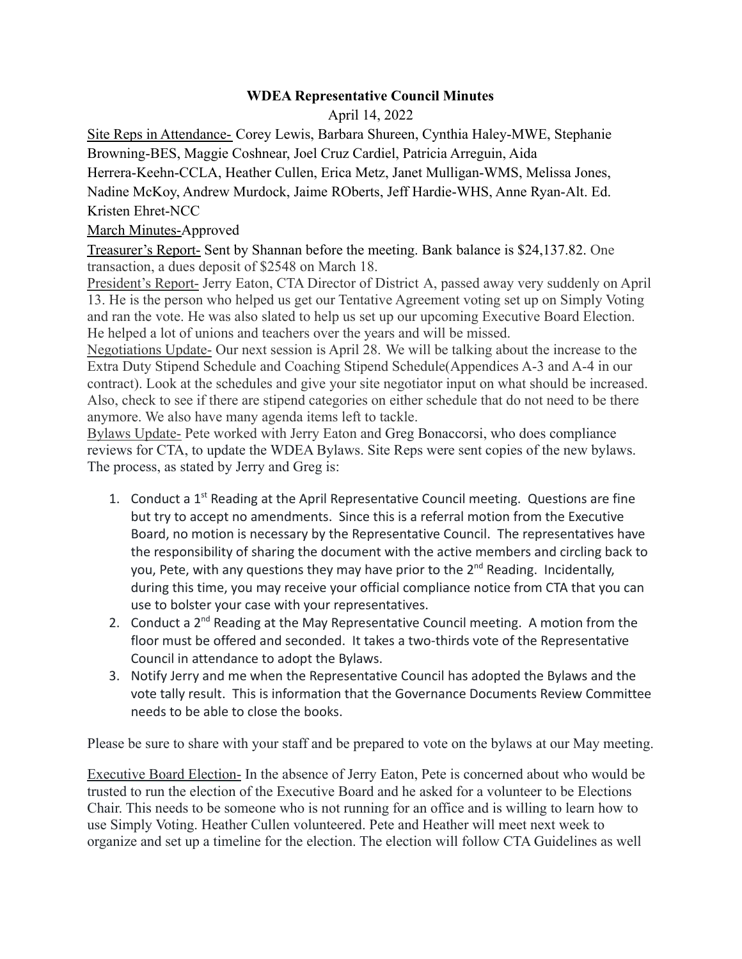## **WDEA Representative Council Minutes**

April 14, 2022

Site Reps in Attendance- Corey Lewis, Barbara Shureen, Cynthia Haley-MWE, Stephanie Browning-BES, Maggie Coshnear, Joel Cruz Cardiel, Patricia Arreguin, Aida Herrera-Keehn-CCLA, Heather Cullen, Erica Metz, Janet Mulligan-WMS, Melissa Jones,

Nadine McKoy, Andrew Murdock, Jaime ROberts, Jeff Hardie-WHS, Anne Ryan-Alt. Ed. Kristen Ehret-NCC

## March Minutes-Approved

Treasurer's Report- Sent by Shannan before the meeting. Bank balance is \$24,137.82. One transaction, a dues deposit of \$2548 on March 18.

President's Report- Jerry Eaton, CTA Director of District A, passed away very suddenly on April 13. He is the person who helped us get our Tentative Agreement voting set up on Simply Voting and ran the vote. He was also slated to help us set up our upcoming Executive Board Election. He helped a lot of unions and teachers over the years and will be missed.

Negotiations Update- Our next session is April 28. We will be talking about the increase to the Extra Duty Stipend Schedule and Coaching Stipend Schedule(Appendices A-3 and A-4 in our contract). Look at the schedules and give your site negotiator input on what should be increased. Also, check to see if there are stipend categories on either schedule that do not need to be there anymore. We also have many agenda items left to tackle.

Bylaws Update- Pete worked with Jerry Eaton and Greg Bonaccorsi, who does compliance reviews for CTA, to update the WDEA Bylaws. Site Reps were sent copies of the new bylaws. The process, as stated by Jerry and Greg is:

- 1. Conduct a  $1<sup>st</sup>$  Reading at the April Representative Council meeting. Questions are fine but try to accept no amendments. Since this is a referral motion from the Executive Board, no motion is necessary by the Representative Council. The representatives have the responsibility of sharing the document with the active members and circling back to you, Pete, with any questions they may have prior to the 2<sup>nd</sup> Reading. Incidentally, during this time, you may receive your official compliance notice from CTA that you can use to bolster your case with your representatives.
- 2. Conduct a  $2^{nd}$  Reading at the May Representative Council meeting. A motion from the floor must be offered and seconded. It takes a two-thirds vote of the Representative Council in attendance to adopt the Bylaws.
- 3. Notify Jerry and me when the Representative Council has adopted the Bylaws and the vote tally result. This is information that the Governance Documents Review Committee needs to be able to close the books.

Please be sure to share with your staff and be prepared to vote on the bylaws at our May meeting.

Executive Board Election- In the absence of Jerry Eaton, Pete is concerned about who would be trusted to run the election of the Executive Board and he asked for a volunteer to be Elections Chair. This needs to be someone who is not running for an office and is willing to learn how to use Simply Voting. Heather Cullen volunteered. Pete and Heather will meet next week to organize and set up a timeline for the election. The election will follow CTA Guidelines as well